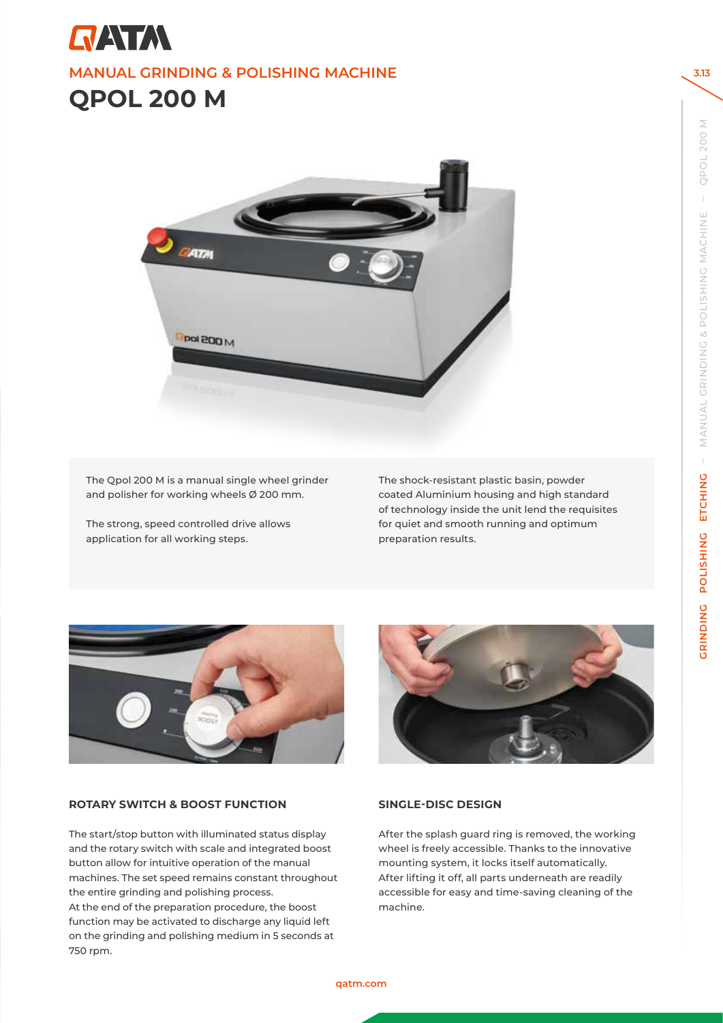



The Qpol 200 M is a manual single wheel grinder and polisher for working wheels Ø 200 mm.

The strong, speed controlled drive allows application for all working steps.

The shock-resistant plastic basin, powder coated Aluminium housing and high standard of technology inside the unit lend the requisites for quiet and smooth running and optimum preparation results.



# **ROTARY SWITCH & BOOST FUNCTION**

The start/stop button with illuminated status display and the rotary switch with scale and integrated boost button allow for intuitive operation of the manual machines. The set speed remains constant throughout the entire grinding and polishing process. At the end of the preparation procedure, the boost function may be activated to discharge any liquid left on the grinding and polishing medium in 5 seconds at 750 rpm.



# **SINGLE-DISC DESIGN**

After the splash guard ring is removed, the working wheel is freely accessible. Thanks to the innovative mounting system, it locks itself automatically. After lifting it off, all parts underneath are readily accessible for easy and time-saving cleaning of the machine.

**3.13**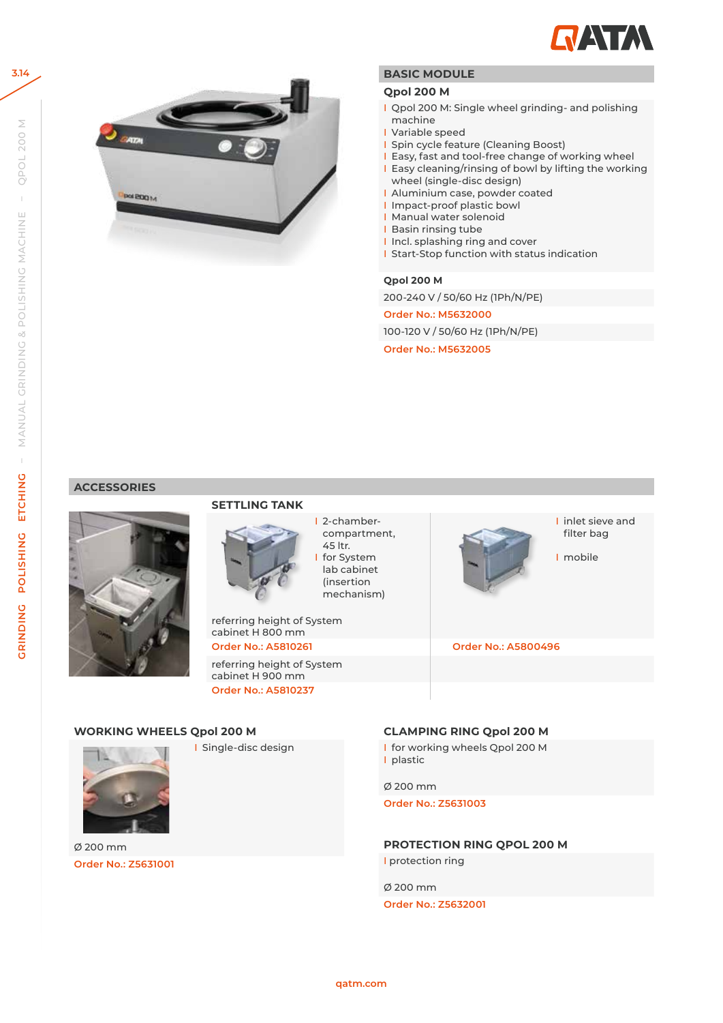

I inlet sieve and filter bag

I mobile



# **BASIC MODULE**

### **Qpol 200 M**

- I Qpol 200 M: Single wheel grinding- and polishing machine
- I Variable speed
- I Spin cycle feature (Cleaning Boost)
- I Easy, fast and tool-free change of working wheel
- I Easy cleaning/rinsing of bowl by lifting the working wheel (single-disc design)
- I Aluminium case, powder coated
- I Impact-proof plastic bowl
- I Manual water solenoid
- **I** Basin rinsing tube
- I Incl. splashing ring and cover
- I Start-Stop function with status indication

### **Qpol 200 M**

200-240 V / 50/60 Hz (1Ph/N/PE)

**Order No.: M5632000**

100-120 V / 50/60 Hz (1Ph/N/PE)

**Order No.: M5632005**

### **ACCESSORIES**



# **SETTLING TANK**



45 ltr. for System lab cabinet (insertion mechanism)

I 2-chambercompartment,

referring height of System cabinet H 800 mm **Order No.: A5810261 Order No.: A5800496**

referring height of System cabinet H 900 mm **Order No.: A5810237**

# **WORKING WHEELS Qpol 200 M**

I Single-disc design



Ø 200 mm **Order No.: Z5631001**

### **CLAMPING RING Qpol 200 M**

I for working wheels Qpol 200 M I plastic

Ø 200 mm

**Order No.: Z5631003**

**PROTECTION RING QPOL 200 M I** protection ring

Ø 200 mm

**Order No.: Z5632001**

**3.14**